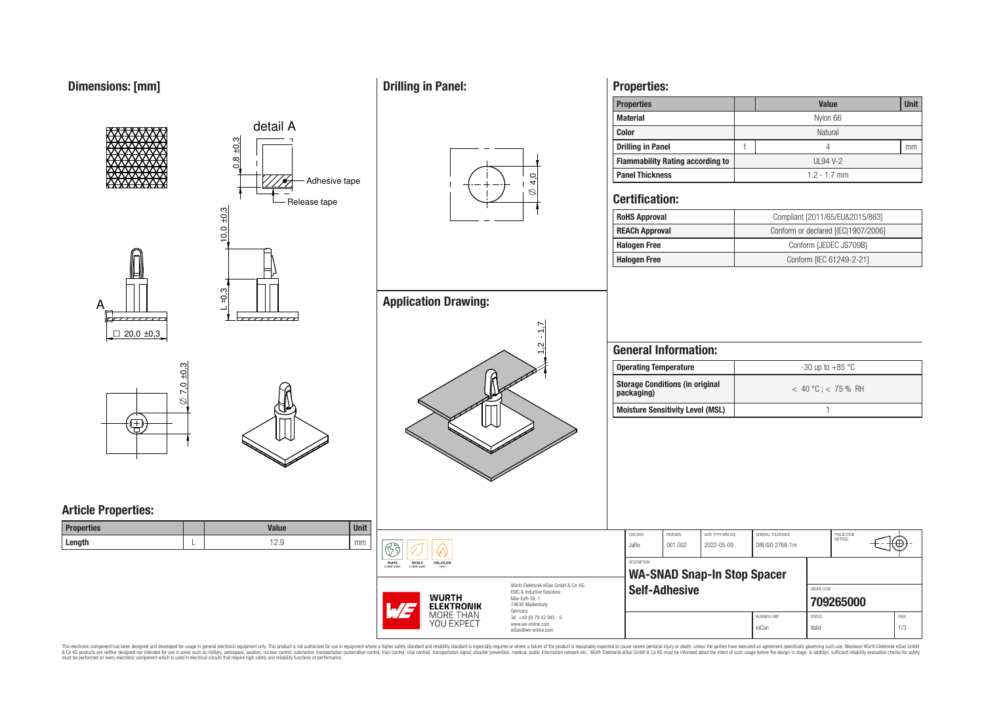# **Dimensions: [mm]**



**Properties:**

This electronic component has been designed and developed for usage in general electronic equipment only. This product is not authorized for subserved requipment where a higher selection equipment where a higher selection

# **Drilling in Panel:**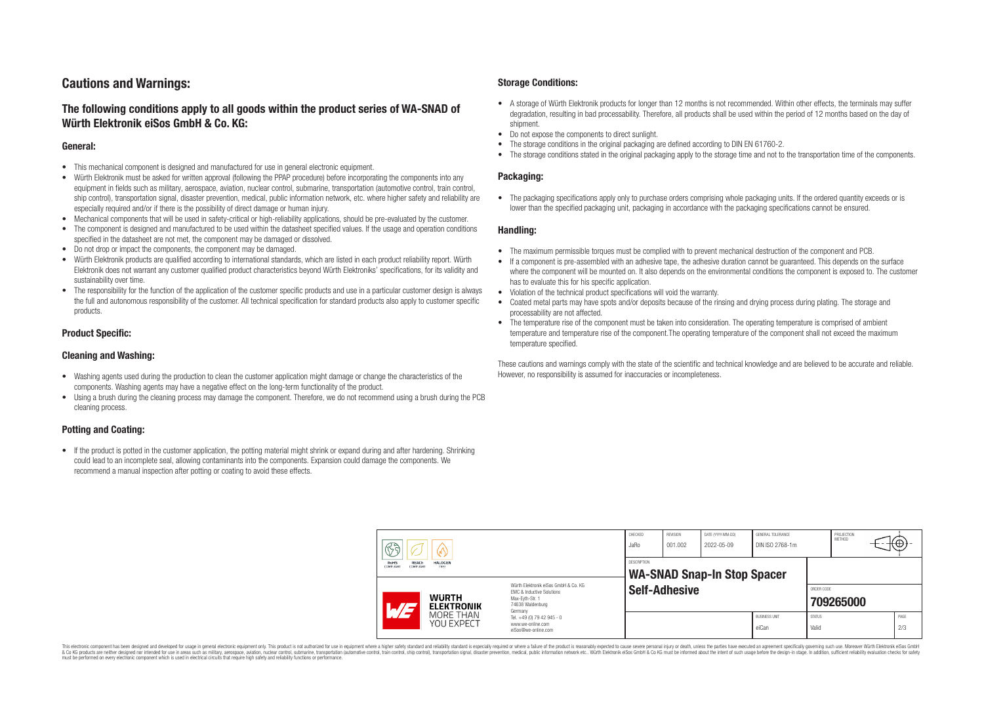# **Cautions and Warnings:**

# **The following conditions apply to all goods within the product series of WA-SNAD of Würth Elektronik eiSos GmbH & Co. KG:**

### **General:**

- This mechanical component is designed and manufactured for use in general electronic equipment.
- Würth Elektronik must be asked for written approval (following the PPAP procedure) before incorporating the components into any equipment in fields such as military, aerospace, aviation, nuclear control, submarine, transportation (automotive control, train control, ship control), transportation signal, disaster prevention, medical, public information network, etc. where higher safety and reliability are especially required and/or if there is the possibility of direct damage or human injury.
- Mechanical components that will be used in safety-critical or high-reliability applications, should be pre-evaluated by the customer.
- The component is designed and manufactured to be used within the datasheet specified values. If the usage and operation conditions specified in the datasheet are not met, the component may be damaged or dissolved.
- Do not drop or impact the components, the component may be damaged.<br>• Wirth Elektronik products are qualified according to international standard
- Würth Elektronik products are qualified according to international standards, which are listed in each product reliability report. Würth Elektronik does not warrant any customer qualified product characteristics beyond Würth Elektroniks' specifications, for its validity and sustainability over time.
- The responsibility for the function of the application of the customer specific products and use in a particular customer design is always the full and autonomous responsibility of the customer. All technical specification for standard products also apply to customer specific products.

### **Product Specific:**

### **Cleaning and Washing:**

- Washing agents used during the production to clean the customer application might damage or change the characteristics of the components. Washing agents may have a negative effect on the long-term functionality of the product.
- Using a brush during the cleaning process may damage the component. Therefore, we do not recommend using a brush during the PCB cleaning process.

### **Potting and Coating:**

• If the product is potted in the customer application, the potting material might shrink or expand during and after hardening. Shrinking could lead to an incomplete seal, allowing contaminants into the components. Expansion could damage the components. We recommend a manual inspection after potting or coating to avoid these effects.

### **Storage Conditions:**

- A storage of Würth Elektronik products for longer than 12 months is not recommended. Within other effects, the terminals may suffer degradation, resulting in bad processability. Therefore, all products shall be used within the period of 12 months based on the day of shipment.
- Do not expose the components to direct sunlight.<br>• The storage conditions in the original packaging
- The storage conditions in the original packaging are defined according to DIN EN 61760-2.
- The storage conditions stated in the original packaging apply to the storage time and not to the transportation time of the components.

### **Packaging:**

• The packaging specifications apply only to purchase orders comprising whole packaging units. If the ordered quantity exceeds or is lower than the specified packaging unit, packaging in accordance with the packaging specifications cannot be ensured.

### **Handling:**

- The maximum permissible torques must be complied with to prevent mechanical destruction of the component and PCB.
- If a component is pre-assembled with an adhesive tape, the adhesive duration cannot be guaranteed. This depends on the surface where the component will be mounted on. It also depends on the environmental conditions the component is exposed to. The customer has to evaluate this for his specific application.
- Violation of the technical product specifications will void the warranty.
- Coated metal parts may have spots and/or deposits because of the rinsing and drying process during plating. The storage and processability are not affected.
- The temperature rise of the component must be taken into consideration. The operating temperature is comprised of ambient temperature and temperature rise of the component.The operating temperature of the component shall not exceed the maximum temperature specified.

These cautions and warnings comply with the state of the scientific and technical knowledge and are believed to be accurate and reliable. However, no responsibility is assumed for inaccuracies or incompleteness.

|                                                | sa                       |                                                              | CHECKED<br>JaRo                                                                                                                                                                               | <b>REVISION</b><br>001.002 | DATE (YYYY-MM-DD)<br>2022-05-09                          | GENERAL TOLERANCE<br>DIN ISO 2768-1m |                               | PROJECTION<br><b>METHOD</b> |  | ťΦ |             |
|------------------------------------------------|--------------------------|--------------------------------------------------------------|-----------------------------------------------------------------------------------------------------------------------------------------------------------------------------------------------|----------------------------|----------------------------------------------------------|--------------------------------------|-------------------------------|-----------------------------|--|----|-------------|
| RoHS<br><b>REACh</b><br>COMPLIANT<br>COMPLIANT |                          | <b>HALOGEN</b><br>FREE                                       |                                                                                                                                                                                               |                            | <b>DESCRIPTION</b><br><b>WA-SNAD Snap-In Stop Spacer</b> |                                      |                               |                             |  |    |             |
|                                                | $\overline{\phantom{a}}$ | <b>WURTH</b><br><b>ELEKTRONIK</b><br>MORE THAN<br>YOU EXPECT | Würth Flektronik eiSos GmbH & Co. KG<br>FMC & Inductive Solutions<br>Max-Evth-Str. 1<br>74638 Waldenburg<br>Germany<br>Tel. +49 (0) 79 42 945 - 0<br>www.we-online.com<br>eiSos@we-online.com | <b>Self-Adhesive</b>       |                                                          |                                      |                               | ORDER CODE<br>709265000     |  |    |             |
|                                                |                          |                                                              |                                                                                                                                                                                               |                            |                                                          |                                      | <b>BUSINESS UNIT</b><br>eiCan | <b>STATUS</b><br>Valid      |  |    | PAGE<br>2/3 |

This electronic component has been designed and developed for usage in general electronic equipment only. This product is not authorized for use in equipment where a higher safety standard and reliability standard si espec & Ook product a label and the membed of the seasuch as marked and as which such a membed and the such assume that income in the seasuch and the simulation and the such assume that include to the such a membed and the such